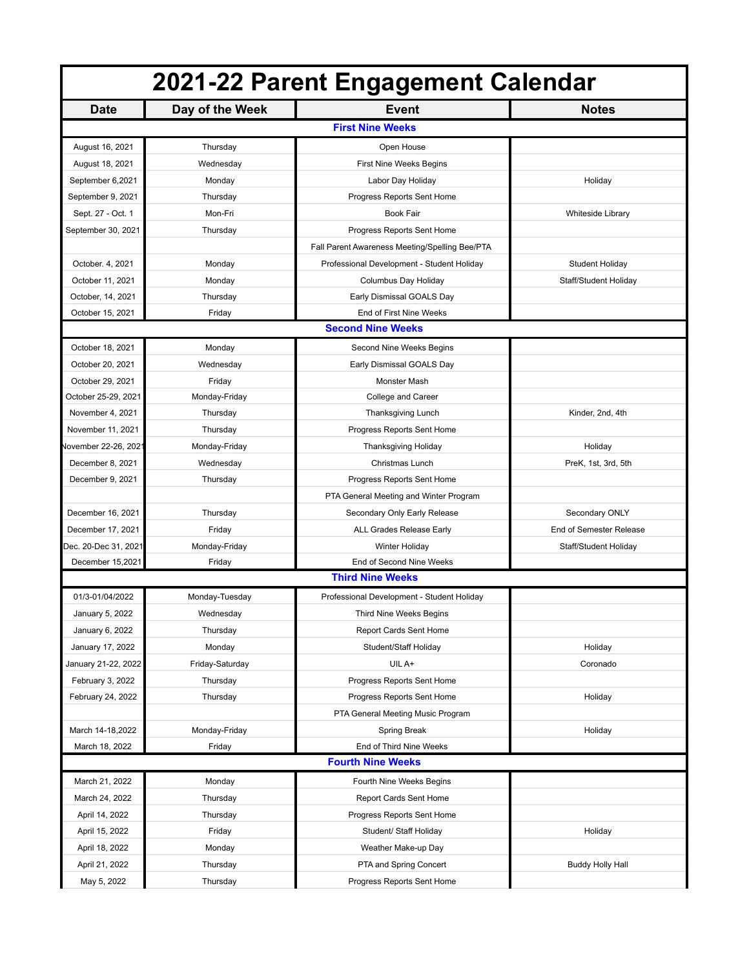| 2021-22 Parent Engagement Calendar |                 |                                                |                          |  |  |
|------------------------------------|-----------------|------------------------------------------------|--------------------------|--|--|
| <b>Date</b>                        | Day of the Week | <b>Event</b>                                   | <b>Notes</b>             |  |  |
|                                    |                 | <b>First Nine Weeks</b>                        |                          |  |  |
| August 16, 2021                    | Thursday        | Open House                                     |                          |  |  |
| August 18, 2021                    | Wednesday       | First Nine Weeks Begins                        |                          |  |  |
| September 6,2021                   | Monday          | Labor Day Holiday                              | Holiday                  |  |  |
| September 9, 2021                  | Thursday        | Progress Reports Sent Home                     |                          |  |  |
| Sept. 27 - Oct. 1                  | Mon-Fri         | <b>Book Fair</b>                               | <b>Whiteside Library</b> |  |  |
| September 30, 2021                 | Thursday        | Progress Reports Sent Home                     |                          |  |  |
|                                    |                 | Fall Parent Awareness Meeting/Spelling Bee/PTA |                          |  |  |
| October. 4, 2021                   | Monday          | Professional Development - Student Holiday     | Student Holiday          |  |  |
| October 11, 2021                   | Monday          | Columbus Day Holiday                           | Staff/Student Holiday    |  |  |
| October, 14, 2021                  | Thursday        | Early Dismissal GOALS Day                      |                          |  |  |
| October 15, 2021                   | Friday          | End of First Nine Weeks                        |                          |  |  |
| <b>Second Nine Weeks</b>           |                 |                                                |                          |  |  |
| October 18, 2021                   | Monday          | Second Nine Weeks Begins                       |                          |  |  |
| October 20, 2021                   | Wednesday       | Early Dismissal GOALS Day                      |                          |  |  |
| October 29, 2021                   | Friday          | Monster Mash                                   |                          |  |  |
| October 25-29, 2021                | Monday-Friday   | College and Career                             |                          |  |  |
| November 4, 2021                   | Thursday        | Thanksgiving Lunch                             | Kinder, 2nd, 4th         |  |  |
| November 11, 2021                  | Thursday        | Progress Reports Sent Home                     |                          |  |  |
| /lovember 22-26, 202               | Monday-Friday   | <b>Thanksgiving Holiday</b>                    | Holiday                  |  |  |
| December 8, 2021                   | Wednesday       | Christmas Lunch                                | PreK, 1st, 3rd, 5th      |  |  |
| December 9, 2021                   | Thursday        | Progress Reports Sent Home                     |                          |  |  |
|                                    |                 | PTA General Meeting and Winter Program         |                          |  |  |
| December 16, 2021                  | Thursday        | Secondary Only Early Release                   | Secondary ONLY           |  |  |
| December 17, 2021                  | Friday          | ALL Grades Release Early                       | End of Semester Release  |  |  |
| Dec. 20-Dec 31, 2021               | Monday-Friday   | Winter Holiday                                 | Staff/Student Holiday    |  |  |
| December 15,2021                   | Friday          | End of Second Nine Weeks                       |                          |  |  |
| <b>Third Nine Weeks</b>            |                 |                                                |                          |  |  |
| 01/3-01/04/2022                    | Monday-Tuesday  | Professional Development - Student Holiday     |                          |  |  |
| January 5, 2022                    | Wednesday       | Third Nine Weeks Begins                        |                          |  |  |
| January 6, 2022                    | Thursday        | Report Cards Sent Home                         |                          |  |  |
| January 17, 2022                   | Monday          | Student/Staff Holiday                          | Holiday                  |  |  |
| January 21-22, 2022                | Friday-Saturday | UIL A+                                         | Coronado                 |  |  |
| February 3, 2022                   | Thursday        | Progress Reports Sent Home                     |                          |  |  |
| February 24, 2022                  | Thursday        | Progress Reports Sent Home                     | Holiday                  |  |  |
|                                    |                 | PTA General Meeting Music Program              |                          |  |  |
| March 14-18,2022                   | Monday-Friday   | Spring Break                                   | Holiday                  |  |  |
| March 18, 2022                     | Friday          | End of Third Nine Weeks                        |                          |  |  |
|                                    |                 | <b>Fourth Nine Weeks</b>                       |                          |  |  |
| March 21, 2022                     | Monday          | Fourth Nine Weeks Begins                       |                          |  |  |
| March 24, 2022                     | Thursday        | Report Cards Sent Home                         |                          |  |  |
| April 14, 2022                     | Thursday        | Progress Reports Sent Home                     |                          |  |  |
| April 15, 2022                     | Friday          | Student/ Staff Holiday                         | Holiday                  |  |  |
| April 18, 2022                     | Monday          | Weather Make-up Day                            |                          |  |  |
| April 21, 2022                     | Thursday        | PTA and Spring Concert                         | <b>Buddy Holly Hall</b>  |  |  |
| May 5, 2022                        | Thursday        | Progress Reports Sent Home                     |                          |  |  |